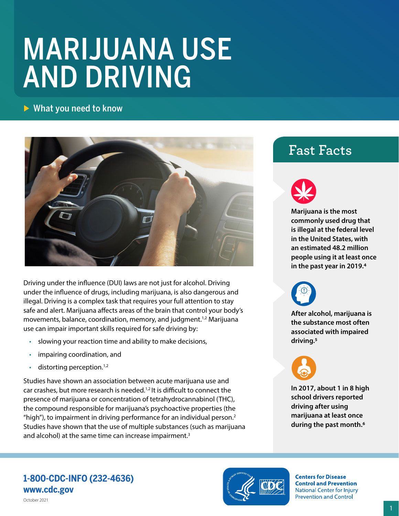# MARIJUANA USE AND DRIVING

## $\triangleright$  What you need to know



Driving under the influence (DUI) laws are not just for alcohol. Driving under the influence of drugs, including marijuana, is also dangerous and illegal. Driving is a complex task that requires your full attention to stay safe and alert. Marijuana affects areas of the brain that control your body's movements, balance, coordination, memory, and judgment.<sup>[1,](#page-1-0)[2](#page-1-1)</sup> Marijuana use can impair important skills required for safe driving by:

- slowing your reaction time and ability to make decisions,
- impairing coordination, and
- distorting perception.<sup>1,2</sup>

Studies have shown an association between acute marijuana use and car crashes, but more research is needed[.1,](#page-1-0)[2](#page-1-1) It is difficult to connect the presence of marijuana or concentration of tetrahydrocannabinol (THC), the compound responsible for marijuana's psychoactive properties (the "high"), to impairment in driving performance for an individual person.[2](#page-1-1)  Studies have shown that the use of multiple substances (such as marijuana and alcohol) at the same time can increase impairment.<sup>3</sup>

# **Fast Facts**



**Marijuana is the most commonly used drug that is illegal at the federal level in the United States, with an estimated 48.2 million people using it at least once in the past year in 2019[.4](#page-1-3)** 



**After alcohol, marijuana is the substance most often associated with impaired driving[.5](#page-1-4)** 



**In 2017, about 1 in 8 high school drivers reported driving after using marijuana at least once during the past month.[6](#page-1-5)** 

### **1-800-CDC-INFO (232-4636) [www.cdc.gov](http://www.cdc.gov)**



**Centers for Disease Control and Prevention National Center for Injury Prevention and Control**